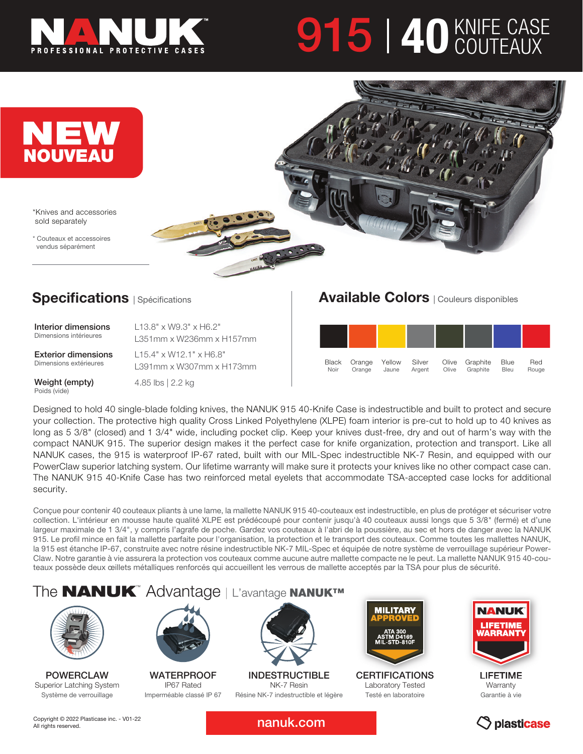

# **915 | 40 KNIFE CASE**



\*Knives and accessories sold separately

\* Couteaux et accessoires vendus séparément



## **Specifications** | Spécifications

| Interior dimensions    | $L13.8" \times W9.3" \times H6.2"$ |  |
|------------------------|------------------------------------|--|
| Dimensions intérieures | L351mm x W236mm x H157mm           |  |

Exterior dimensions Dimensions extérieures

L15.4" x W12.1" x H6.8"

Weight (empty) Poids (vide)

L391mm x W307mm x H173mm

4.85 lbs | 2.2 kg

### Available Colors | Couleurs disponibles



Designed to hold 40 single-blade folding knives, the NANUK 915 40-Knife Case is indestructible and built to protect and secure your collection. The protective high quality Cross Linked Polyethylene (XLPE) foam interior is pre-cut to hold up to 40 knives as long as 5 3/8" (closed) and 1 3/4" wide, including pocket clip. Keep your knives dust-free, dry and out of harm's way with the compact NANUK 915. The superior design makes it the perfect case for knife organization, protection and transport. Like all NANUK cases, the 915 is waterproof IP-67 rated, built with our MIL-Spec indestructible NK-7 Resin, and equipped with our PowerClaw superior latching system. Our lifetime warranty will make sure it protects your knives like no other compact case can. The NANUK 915 40-Knife Case has two reinforced metal eyelets that accommodate TSA-accepted case locks for additional security.

Conçue pour contenir 40 couteaux pliants à une lame, la mallette NANUK 915 40-couteaux est indestructible, en plus de protéger et sécuriser votre collection. L'intérieur en mousse haute qualité XLPE est prédécoupé pour contenir jusqu'à 40 couteaux aussi longs que 5 3/8" (fermé) et d'une largeur maximale de 1 3/4", y compris l'agrafe de poche. Gardez vos couteaux à l'abri de la poussière, au sec et hors de danger avec la NANUK 915. Le profil mince en fait la mallette parfaite pour l'organisation, la protection et le transport des couteaux. Comme toutes les mallettes NANUK, la 915 est étanche IP-67, construite avec notre résine indestructible NK-7 MIL-Spec et équipée de notre système de verrouillage supérieur Power-Claw. Notre garantie à vie assurera la protection vos couteaux comme aucune autre mallette compacte ne le peut. La mallette NANUK 915 40-couteaux possède deux œillets métalliques renforcés qui accueillent les verrous de mallette acceptés par la TSA pour plus de sécurité.

## The **NANUK**<sup>™</sup> Advantage | L'avantage NANUK™



POWERCLAW Superior Latching System Système de verrouillage



**WATERPROOF** IP67 Rated Imperméable classé IP 67



NK-7 Resin Résine NK-7 indestructible et légère



**CERTIFICATIONS** Laboratory Tested Testé en laboratoire



LIFETIME **Warranty** Garantie à vie